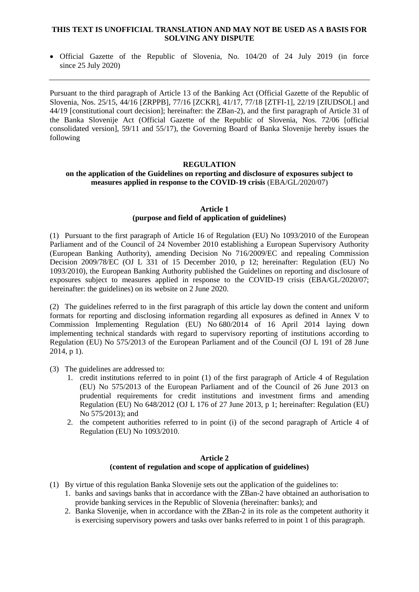#### **THIS TEXT IS UNOFFICIAL TRANSLATION AND MAY NOT BE USED AS A BASIS FOR SOLVING ANY DISPUTE**

 Official Gazette of the Republic of Slovenia, No. 104/20 of 24 July 2019 (in force since 25 July 2020)

Pursuant to the third paragraph of Article 13 of the Banking Act (Official Gazette of the Republic of Slovenia, Nos. 25/15, 44/16 [ZRPPB], 77/16 [ZCKR], 41/17, 77/18 [ZTFI-1], 22/19 [ZIUDSOL] and [44/19](http://www.uradni-list.si/1/objava.jsp?sop=2019-01-2011) [constitutional court decision]; hereinafter: the ZBan-2), and the first paragraph of Article 31 of the Banka Slovenije Act (Official Gazette of the Republic of Slovenia, Nos. 72/06 [official consolidated version], 59/11 and 55/17), the Governing Board of Banka Slovenije hereby issues the following

### **REGULATION**

#### **on the application of the Guidelines on reporting and disclosure of exposures subject to measures applied in response to the COVID-19 crisis** (EBA/GL/2020/07)

#### **Article 1 (purpose and field of application of guidelines)**

(1) Pursuant to the first paragraph of Article 16 of Regulation (EU) No 1093/2010 of the European Parliament and of the Council of 24 November 2010 establishing a European Supervisory Authority (European Banking Authority), amending Decision No 716/2009/EC and repealing Commission Decision 2009/78/EC (OJ L 331 of 15 December 2010, p 12; hereinafter: Regulation (EU) No 1093/2010), the European Banking Authority published the Guidelines on reporting and disclosure of exposures subject to measures applied in response to the COVID-19 crisis (EBA/GL/2020/07; hereinafter: the guidelines) on its website on 2 June 2020.

(2) The guidelines referred to in the first paragraph of this article lay down the content and uniform formats for reporting and disclosing information regarding all exposures as defined in Annex V to Commission Implementing Regulation (EU) No 680/2014 of 16 April 2014 laying down implementing technical standards with regard to supervisory reporting of institutions according to Regulation (EU) No 575/2013 of the European Parliament and of the Council (OJ L 191 of 28 June 2014, p 1).

- (3) The guidelines are addressed to:
	- 1. credit institutions referred to in point (1) of the first paragraph of Article 4 of Regulation (EU) No 575/2013 of the European Parliament and of the Council of 26 June 2013 on prudential requirements for credit institutions and investment firms and amending Regulation (EU) No 648/2012 (OJ L 176 of 27 June 2013, p 1; hereinafter: Regulation (EU) No 575/2013); and
	- 2. the competent authorities referred to in point (i) of the second paragraph of Article 4 of Regulation (EU) No 1093/2010.

## **Article 2 (content of regulation and scope of application of guidelines)**

- (1) By virtue of this regulation Banka Slovenije sets out the application of the guidelines to:
	- 1. banks and savings banks that in accordance with the ZBan-2 have obtained an authorisation to provide banking services in the Republic of Slovenia (hereinafter: banks); and
	- 2. Banka Slovenije, when in accordance with the ZBan-2 in its role as the competent authority it is exercising supervisory powers and tasks over banks referred to in point 1 of this paragraph.